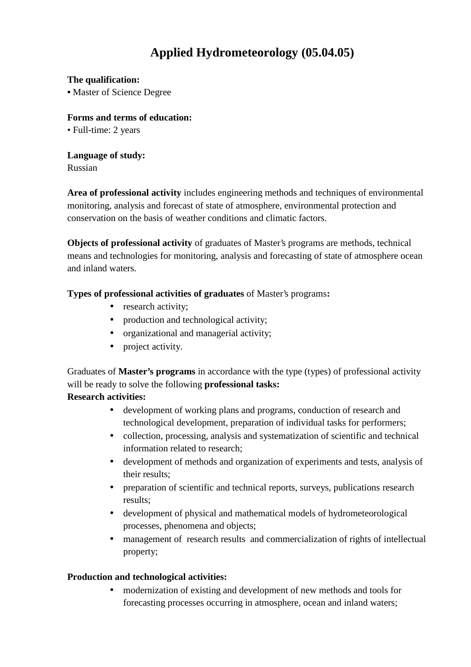# **Applied Hydrometeorology (05.04.05)**

#### **The qualification:**

**•** Master of Science Degree

#### **Forms and terms of education:**

• Full-time: 2 years

## **Language of study:**

Russian

**Area of professional activity** includes engineering methods and techniques of environmental monitoring, analysis and forecast of state of atmosphere, environmental protection and conservation on the basis of weather conditions and climatic factors.

**Objects of professional activity** of graduates of Master's programs are methods, technical means and technologies for monitoring, analysis and forecasting of state of atmosphere ocean and inland waters.

## **Types of professional activities of graduates** of Master's programs**:**

- research activity;
- production and technological activity;
- organizational and managerial activity;
- project activity.

Graduates of **Master's programs** in accordance with the type (types) of professional activity will be ready to solve the following **professional tasks:**

## **Research activities:**

- development of working plans and programs, conduction of research and technological development, preparation of individual tasks for performers;
- collection, processing, analysis and systematization of scientific and technical information related to research;
- development of methods and organization of experiments and tests, analysis of their results;
- preparation of scientific and technical reports, surveys, publications research results;
- development of physical and mathematical models of hydrometeorological processes, phenomena and objects;
- management of research results and commercialization of rights of intellectual property;

## **Production and technological activities:**

 modernization of existing and development of new methods and tools for forecasting processes occurring in atmosphere, ocean and inland waters;